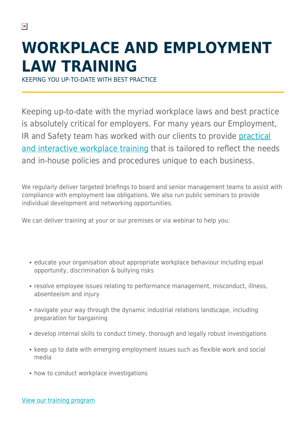## **WORKPLACE AND EMPLOYMENT LAW TRAINING**

KEEPING YOU UP-TO-DATE WITH BEST PRACTICE

Keeping up-to-date with the myriad workplace laws and best practice is absolutely critical for employers. For many years our Employment, IR and Safety team has worked with our clients to provide [practical](https://www.herbertsmithfreehills.com/latest-thinking/eirstraining2022) [and interactive workplace training](https://www.herbertsmithfreehills.com/latest-thinking/eirstraining2022) that is tailored to reflect the needs and in-house policies and procedures unique to each business.

We regularly deliver targeted briefings to board and senior management teams to assist with compliance with employment law obligations. We also run public seminars to provide individual development and networking opportunities.

We can deliver training at your or our premises or via webinar to help you:

- educate your organisation about appropriate workplace behaviour including equal opportunity, discrimination & bullying risks
- resolve employee issues relating to performance management, misconduct, illness, absenteeism and injury
- navigate your way through the dynamic industrial relations landscape, including preparation for bargaining
- develop internal skills to conduct timely, thorough and legally robust investigations
- keep up to date with emerging employment issues such as flexible work and social media
- how to conduct workplace investigations